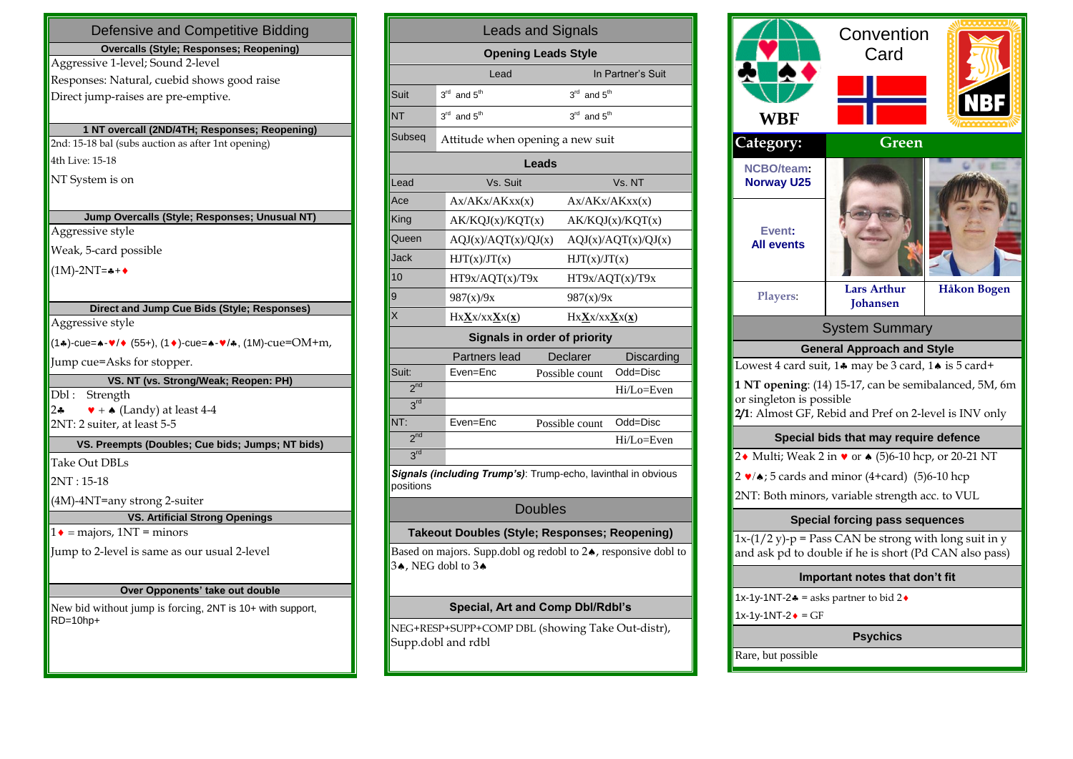| Defensive and Competitive Bidding                                           |  |  |  |  |  |
|-----------------------------------------------------------------------------|--|--|--|--|--|
| <b>Overcalls (Style; Responses; Reopening)</b>                              |  |  |  |  |  |
| Aggressive 1-level; Sound 2-level                                           |  |  |  |  |  |
| Responses: Natural, cuebid shows good raise                                 |  |  |  |  |  |
| Direct jump-raises are pre-emptive.                                         |  |  |  |  |  |
|                                                                             |  |  |  |  |  |
| 1 NT overcall (2ND/4TH; Responses; Reopening)                               |  |  |  |  |  |
| 2nd: 15-18 bal (subs auction as after 1nt opening)                          |  |  |  |  |  |
| 4th Live: 15-18                                                             |  |  |  |  |  |
| NT System is on                                                             |  |  |  |  |  |
|                                                                             |  |  |  |  |  |
| Jump Overcalls (Style; Responses; Unusual NT)                               |  |  |  |  |  |
| Aggressive style                                                            |  |  |  |  |  |
| Weak, 5-card possible                                                       |  |  |  |  |  |
| $(1M)-2NT = +$                                                              |  |  |  |  |  |
|                                                                             |  |  |  |  |  |
| Direct and Jump Cue Bids (Style; Responses)                                 |  |  |  |  |  |
| Aggressive style                                                            |  |  |  |  |  |
| $(1*)$ -cue=↑ $\sqrt{*}$ (55+), (1◆)-cue=↑ $\sqrt{*}$ , (1M)-cue=OM+m,      |  |  |  |  |  |
| Jump cue=Asks for stopper.                                                  |  |  |  |  |  |
| VS. NT (vs. Strong/Weak; Reopen: PH)                                        |  |  |  |  |  |
| Dbl: Strength                                                               |  |  |  |  |  |
| $2\bullet$<br>$\blacktriangleright$ + $\blacktriangle$ (Landy) at least 4-4 |  |  |  |  |  |
| 2NT: 2 suiter, at least 5-5                                                 |  |  |  |  |  |
| VS. Preempts (Doubles; Cue bids; Jumps; NT bids)                            |  |  |  |  |  |
| <b>Take Out DBLs</b>                                                        |  |  |  |  |  |
| $2NT: 15-18$                                                                |  |  |  |  |  |
| (4M)-4NT=any strong 2-suiter                                                |  |  |  |  |  |
| <b>VS. Artificial Strong Openings</b>                                       |  |  |  |  |  |
| $1\bullet$ = majors, 1NT = minors                                           |  |  |  |  |  |
| Jump to 2-level is same as our usual 2-level                                |  |  |  |  |  |
|                                                                             |  |  |  |  |  |
| Over Opponents' take out double                                             |  |  |  |  |  |
| New bid without jump is forcing, 2NT is 10+ with support,                   |  |  |  |  |  |
| $RD = 10$ hp+                                                               |  |  |  |  |  |
|                                                                             |  |  |  |  |  |
|                                                                             |  |  |  |  |  |

| <b>Leads and Signals</b>                                                             |                                                                        |                                     |                     |  |  |  |  |  |  |
|--------------------------------------------------------------------------------------|------------------------------------------------------------------------|-------------------------------------|---------------------|--|--|--|--|--|--|
| <b>Opening Leads Style</b>                                                           |                                                                        |                                     |                     |  |  |  |  |  |  |
|                                                                                      | Lead                                                                   |                                     | In Partner's Suit   |  |  |  |  |  |  |
| Suit                                                                                 | $3rd$ and $5th$                                                        | $3^{\text{rd}}$ and $5^{\text{th}}$ |                     |  |  |  |  |  |  |
| <b>NT</b>                                                                            | $3^{\text{rd}}$ and $5^{\text{th}}$                                    | $3^{\text{rd}}$ and $5^{\text{th}}$ |                     |  |  |  |  |  |  |
| Subseq                                                                               | Attitude when opening a new suit                                       |                                     |                     |  |  |  |  |  |  |
| Leads                                                                                |                                                                        |                                     |                     |  |  |  |  |  |  |
| Lead                                                                                 | Vs. Suit                                                               |                                     | Vs. NT              |  |  |  |  |  |  |
| Ace                                                                                  | Ax/AKx/AKxx(x)                                                         |                                     | Ax/AKx/AKxx(x)      |  |  |  |  |  |  |
| King                                                                                 | AK/KQJ(x)/KQT(x)                                                       |                                     | AK/KQJ(x)/KQT(x)    |  |  |  |  |  |  |
| Queen                                                                                | AQJ(x)/AQT(x)/QJ(x)                                                    |                                     | AQJ(x)/AQT(x)/QJ(x) |  |  |  |  |  |  |
| Jack                                                                                 | HJT(x)/JT(x)                                                           | HJT(x)/JT(x)                        |                     |  |  |  |  |  |  |
| 10                                                                                   | HT9x/AQT(x)/T9x                                                        |                                     | HT9x/AQT(x)/T9x     |  |  |  |  |  |  |
| 9                                                                                    | 987(x)/9x                                                              | 987(x)/9x                           |                     |  |  |  |  |  |  |
| X                                                                                    | $Hx{\bf X}x/xx{\bf X}x({\bf x})$                                       | $Hx{\bf X}x/xx{\bf X}x({\bf x})$    |                     |  |  |  |  |  |  |
|                                                                                      | <b>Signals in order of priority</b>                                    |                                     |                     |  |  |  |  |  |  |
|                                                                                      | Partners lead                                                          | Declarer                            | Discarding          |  |  |  |  |  |  |
| Suit:                                                                                | Even=Enc                                                               | Possible count                      | Odd=Disc            |  |  |  |  |  |  |
| 2 <sup>nd</sup>                                                                      |                                                                        |                                     | Hi/Lo=Even          |  |  |  |  |  |  |
| 3 <sup>rd</sup>                                                                      |                                                                        |                                     |                     |  |  |  |  |  |  |
| NT:                                                                                  | Even=Enc                                                               | Possible count                      | Odd=Disc            |  |  |  |  |  |  |
| 2 <sup>nd</sup>                                                                      |                                                                        |                                     | Hi/Lo=Even          |  |  |  |  |  |  |
| 3 <sup>rd</sup>                                                                      |                                                                        |                                     |                     |  |  |  |  |  |  |
| positions                                                                            | Signals (including Trump's): Trump-echo, lavinthal in obvious          |                                     |                     |  |  |  |  |  |  |
| <b>Doubles</b>                                                                       |                                                                        |                                     |                     |  |  |  |  |  |  |
|                                                                                      | Takeout Doubles (Style; Responses; Reopening)                          |                                     |                     |  |  |  |  |  |  |
| Based on majors. Supp.dobl og redobl to 24, responsive dobl to<br>34, NEG dobl to 34 |                                                                        |                                     |                     |  |  |  |  |  |  |
| Special, Art and Comp Dbl/Rdbl's                                                     |                                                                        |                                     |                     |  |  |  |  |  |  |
|                                                                                      | NEG+RESP+SUPP+COMP DBL (showing Take Out-distr),<br>Supp.dobl and rdbl |                                     |                     |  |  |  |  |  |  |

| WBF                                                                                                                                                                                               | Convention<br>Card                    |                    |  |  |  |  |
|---------------------------------------------------------------------------------------------------------------------------------------------------------------------------------------------------|---------------------------------------|--------------------|--|--|--|--|
| Category:                                                                                                                                                                                         | Green                                 |                    |  |  |  |  |
| <b>NCBO/team:</b><br><b>Norway U25</b>                                                                                                                                                            |                                       |                    |  |  |  |  |
| Event:<br><b>All events</b>                                                                                                                                                                       |                                       |                    |  |  |  |  |
| <b>Players:</b>                                                                                                                                                                                   | <b>Lars Arthur</b><br><b>Johansen</b> | <b>Håkon Bogen</b> |  |  |  |  |
| <b>System Summary</b>                                                                                                                                                                             |                                       |                    |  |  |  |  |
|                                                                                                                                                                                                   | <b>General Approach and Style</b>     |                    |  |  |  |  |
| Lowest 4 card suit, 14 may be 3 card, 14 is 5 card+<br>1 NT opening: (14) 15-17, can be semibalanced, 5M, 6m<br>or singleton is possible<br>2/1: Almost GF, Rebid and Pref on 2-level is INV only |                                       |                    |  |  |  |  |
| Special bids that may require defence                                                                                                                                                             |                                       |                    |  |  |  |  |
| 2• Multi; Weak 2 in $\bullet$ or $\bullet$ (5)6-10 hcp, or 20-21 NT                                                                                                                               |                                       |                    |  |  |  |  |
| $2 \cdot \sqrt{*}$ ; 5 cards and minor (4+card) (5)6-10 hcp                                                                                                                                       |                                       |                    |  |  |  |  |
| 2NT: Both minors, variable strength acc. to VUL                                                                                                                                                   |                                       |                    |  |  |  |  |
|                                                                                                                                                                                                   | <b>Special forcing pass sequences</b> |                    |  |  |  |  |
| $1x-(1/2 y)-p$ = Pass CAN be strong with long suit in y<br>and ask pd to double if he is short (Pd CAN also pass)                                                                                 |                                       |                    |  |  |  |  |
| Important notes that don't fit                                                                                                                                                                    |                                       |                    |  |  |  |  |
| 1x-1y-1NT-2* = asks partner to bid 2 <sup>*</sup>                                                                                                                                                 |                                       |                    |  |  |  |  |
| 1x-1y-1NT-2◆ = GF                                                                                                                                                                                 |                                       |                    |  |  |  |  |
| <b>Psychics</b>                                                                                                                                                                                   |                                       |                    |  |  |  |  |
| Rare, but possible                                                                                                                                                                                |                                       |                    |  |  |  |  |